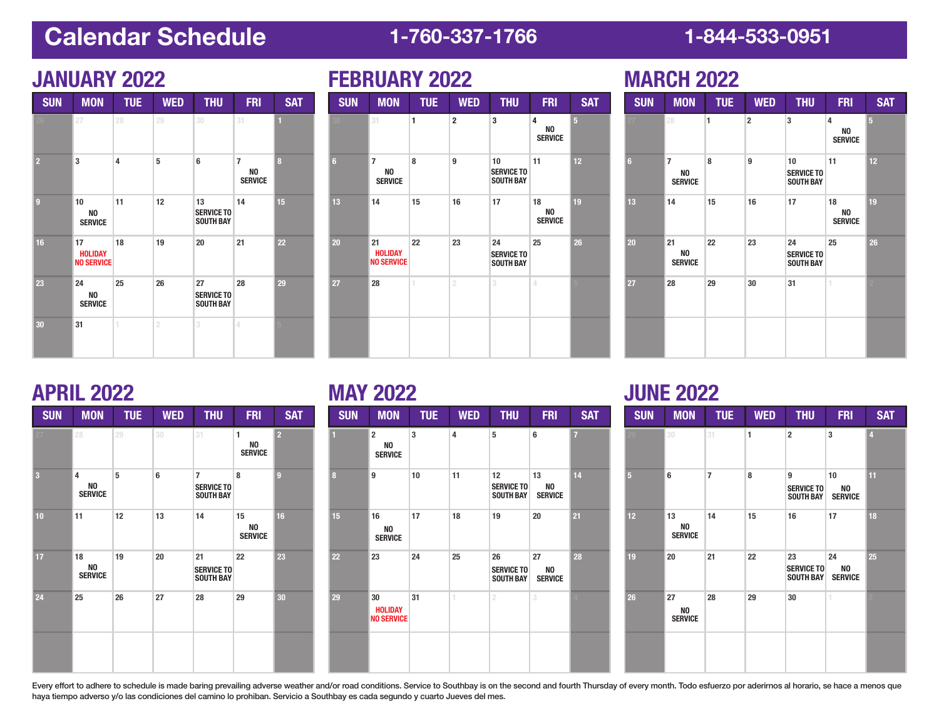# **Calendar Schedule 1-760-337-1766 1-844-533-0951**

| <b>SUN</b>     | <b>MON</b>                                | <b>TUE</b> | <b>WED</b>     | <b>THU</b>                                  | <b>FRI</b>                                         | <b>SAT</b>   | <b>SUN</b> | <b>MON</b>                                         | <b>TUE</b>   | <b>WED</b>              | <b>THU</b>                                  | <b>FRI</b>                            |
|----------------|-------------------------------------------|------------|----------------|---------------------------------------------|----------------------------------------------------|--------------|------------|----------------------------------------------------|--------------|-------------------------|---------------------------------------------|---------------------------------------|
|                | 27                                        | 28         | 29             | 30                                          | 31                                                 |              |            | 31                                                 | $\mathbf{1}$ | $\overline{\mathbf{2}}$ | 3                                           | 4<br>N <sub>0</sub><br><b>SERVIO</b>  |
| $\overline{2}$ | 3                                         | 4          | 5              | 6                                           | $\overline{7}$<br>N <sub>0</sub><br><b>SERVICE</b> | $\mathbf{a}$ | 6          | $\overline{7}$<br>N <sub>0</sub><br><b>SERVICE</b> | 8            | 9                       | 10<br><b>SERVICE TO</b><br><b>SOUTH BAY</b> | 11                                    |
| $\overline{9}$ | 10<br>N <sub>0</sub><br><b>SERVICE</b>    | 11         | 12             | 13<br><b>SERVICE TO</b><br><b>SOUTH BAY</b> | 14                                                 | 15           | 13         | 14                                                 | 15           | 16                      | 17                                          | 18<br>N <sub>0</sub><br><b>SERVIO</b> |
| 16             | 17<br><b>HOLIDAY</b><br><b>NO SERVICE</b> | 18         | 19             | 20                                          | 21                                                 | 22           | 20         | 21<br><b>HOLIDAY</b><br><b>NO SERVICE</b>          | 22           | 23                      | 24<br><b>SERVICE TO</b><br><b>SOUTH BAY</b> | 25                                    |
| 23             | 24<br>N <sub>0</sub><br><b>SERVICE</b>    | 25         | 26             | 27<br><b>SERVICE TO</b><br><b>SOUTH BAY</b> | 28                                                 | 29           | 27         | 28                                                 | 1            | $\overline{2}$          | 3                                           | 14                                    |
| 30             | 31                                        |            | $\overline{2}$ | 3                                           | 4                                                  |              |            |                                                    |              |                         |                                             |                                       |
|                |                                           |            |                |                                             |                                                    |              |            |                                                    |              |                         |                                             |                                       |
|                | <b>APRIL 2022</b>                         |            |                |                                             |                                                    |              |            | <b>MAY 2022</b>                                    |              |                         |                                             |                                       |

## **JANUARY 2022 FEBRUARY 2022**

|                |                                                    |            | . v 1. n       |                                             |                                        |                |
|----------------|----------------------------------------------------|------------|----------------|---------------------------------------------|----------------------------------------|----------------|
| <b>SUN</b>     | <b>MON</b>                                         | <b>TUE</b> | <b>WED</b>     | <b>THU</b>                                  | <b>FRI</b>                             | <b>SAT</b>     |
|                | 31                                                 | 1          | $\overline{2}$ | 3                                           | 4<br>N <sub>0</sub><br><b>SERVICE</b>  | $\overline{5}$ |
| $6\phantom{a}$ | $\overline{7}$<br>N <sub>0</sub><br><b>SERVICE</b> | 8          | 9              | 10<br><b>SERVICE TO</b><br><b>SOUTH BAY</b> | 11                                     | 12             |
| 13             | 14                                                 | 15         | 16             | 17                                          | 18<br>N <sub>0</sub><br><b>SERVICE</b> | 19             |
| 20             | 21<br><b>HOLIDAY</b><br><b>NO SERVICE</b>          | 22         | 23             | 24<br><b>SERVICE TO</b><br><b>SOUTH BAY</b> | 25                                     | 26             |
| 27             | 28                                                 | 1          | 2              | 3                                           | 4                                      |                |
|                |                                                    |            |                |                                             |                                        |                |

## **MARCH 2022**

| <b>SUN</b>     | <b>MON</b>                              | <b>TUE</b> | <b>WED</b>     | <b>THU</b>                                  | <b>FRI</b>                             | <b>SAT</b>     |
|----------------|-----------------------------------------|------------|----------------|---------------------------------------------|----------------------------------------|----------------|
|                | 28                                      | 1          | $\overline{2}$ | 3                                           | 4<br>NO<br><b>SERVICE</b>              | $\overline{5}$ |
| $6\phantom{a}$ | $\overline{7}$<br>NO.<br><b>SERVICE</b> | 8          | 9              | 10<br><b>SERVICE TO</b><br><b>SOUTH BAY</b> | 11                                     | 12             |
| 13             | 14                                      | 15         | 16             | 17                                          | 18<br>N <sub>0</sub><br><b>SERVICE</b> | 19             |
| 20             | 21<br>NO<br><b>SERVICE</b>              | 22         | 23             | 24<br><b>SERVICE TO</b><br><b>SOUTH BAY</b> | 25                                     | 26             |
| 27             | 28                                      | 29         | 30             | 31                                          | 1                                      | σ              |
|                |                                         |            |                |                                             |                                        |                |

| <b>SUN</b> | <b>MON</b>                             | <b>TUE</b> | <b>WED</b> | <b>THU</b>                                              | <b>FRI</b>                             | <b>SAT</b>       | <b>SUN</b> |
|------------|----------------------------------------|------------|------------|---------------------------------------------------------|----------------------------------------|------------------|------------|
|            | 28                                     | 29         | 30         | 31                                                      | 1<br>N <sub>0</sub><br><b>SERVICE</b>  | $\overline{2}$   | п          |
| 3          | 4<br>NO<br><b>SERVICE</b>              | 5          | 6          | $\overline{7}$<br><b>SERVICE TO</b><br><b>SOUTH BAY</b> | 8                                      | $\boldsymbol{g}$ | 8          |
| 10         | 11                                     | 12         | 13         | 14                                                      | 15<br>N <sub>0</sub><br><b>SERVICE</b> | 16               | 15         |
| 17         | 18<br>N <sub>0</sub><br><b>SERVICE</b> | 19         | 20         | 21<br><b>SERVICE TO</b><br><b>SOUTH BAY</b>             | 22                                     | 23               | 22         |
| 24         | 25                                     | 26         | 27         | 28                                                      | 29                                     | 30               | 29         |
|            |                                        |            |            |                                                         |                                        |                  |            |

| <b>MON</b>           | <b>TUE</b> | <b>WED</b> | <b>THU</b>                                  | <b>FRI</b>                 | <b>SAT</b>      | <b>SUN</b>      | <b>MON</b>                                | <b>TUE</b> | <b>WED</b>     | <b>THU</b>                                               | <b>FRI</b>                 | <b>SAT</b>     | <b>SUN</b>      | <b>MON</b>                 | <b>TUE</b>     | <b>WED</b> | <b>THU</b>                                  | <b>FRI</b>                        |  |
|----------------------|------------|------------|---------------------------------------------|----------------------------|-----------------|-----------------|-------------------------------------------|------------|----------------|----------------------------------------------------------|----------------------------|----------------|-----------------|----------------------------|----------------|------------|---------------------------------------------|-----------------------------------|--|
|                      | 29         | 30         | 31                                          | NO<br>Service              | $\overline{2}$  |                 | $\overline{2}$<br>NO<br><b>SERVICE</b>    | 3          | $\overline{a}$ | 5                                                        | 6                          | $\overline{z}$ |                 | 30                         | 31             |            | $\overline{\phantom{a}}$                    | 3                                 |  |
| NO<br><b>SERVICE</b> | 5          | 6          | <b>SERVICE TO</b><br><b>SOUTH BAY</b>       | 8                          | 9               | 8               | 9                                         | 10         | 11             | 12 <sup>2</sup><br><b>SERVICE TO</b><br><b>SOUTH BAY</b> | 13<br>NO<br><b>SERVICE</b> | 14             | 5               | 6                          | $\overline{7}$ | 8          | 9<br><b>SERVICE TO</b><br><b>SOUTH BAY</b>  | 10<br>NO<br><b>SERVICE</b>        |  |
|                      | 12         | 13         | 14                                          | 15<br>NO<br><b>SERVICE</b> | 16 <sup>1</sup> | 15 <sub>1</sub> | 16<br><b>NO</b><br><b>SERVICE</b>         | 17         | 18             | 19                                                       | 20                         | 21             | 12 <sup>2</sup> | 13<br>NO<br><b>SERVICE</b> | 14             | 15         | 16                                          | 17                                |  |
| NO<br><b>SERVICE</b> | 19         | 20         | 21<br><b>SERVICE TO</b><br><b>SOUTH BAY</b> | 22                         | 23              | 22              | 23                                        | 24         | 25             | 26<br><b>SERVICE TO</b><br><b>SOUTH BAY</b>              | 27<br>NO<br><b>SERVICE</b> | 28             | 19              | 20                         | 21             | 22         | 23<br><b>SERVICE TO</b><br><b>SOUTH BAY</b> | 24<br><b>NO</b><br><b>SERVICE</b> |  |
|                      | 26         | 27         | 28                                          | 29                         | $ 30\rangle$    | 29              | 30<br><b>HOLIDAY</b><br><b>NO SERVICE</b> | 31         |                | $^{2}$                                                   | 3.                         |                | 26              | 27<br>NO<br>Service        | 28             | 29         | 30                                          |                                   |  |
|                      |            |            |                                             |                            |                 |                 |                                           |            |                |                                                          |                            |                |                 |                            |                |            |                                             |                                   |  |

## **JUNE 2022**

| <b>THU</b>                           | <b>FRI</b>                 | <b>SAT</b>     | <b>SUN</b> | <b>MON</b>                 | <b>TUE</b>     | <b>WED</b>   | <b>THU</b>                                  | <b>FRI</b>                  | <b>SAT</b>     |
|--------------------------------------|----------------------------|----------------|------------|----------------------------|----------------|--------------|---------------------------------------------|-----------------------------|----------------|
| 5                                    | 6                          | $\overline{7}$ |            | 30                         | 31             | $\mathbf{1}$ | $\overline{2}$                              | 3                           | $\overline{4}$ |
| 12<br><b>SERVICE TO</b><br>SOUTH BAY | 13<br>NO<br><b>SERVICE</b> | 14             | 5          | 6                          | $\overline{7}$ | 8            | 9<br><b>SERVICE TO</b><br><b>SOUTH BAY</b>  | 10<br>NO.<br><b>SERVICE</b> | 11             |
| 19                                   | 20                         | 21             | 12         | 13<br>NO<br><b>SERVICE</b> | 14             | 15           | 16                                          | 17                          | 18             |
| 26<br><b>SERVICE TO</b><br>SOUTH BAY | 27<br>NO<br><b>SERVICE</b> | 28             | 19         | 20                         | 21             | 22           | 23<br><b>SERVICE TO</b><br><b>SOUTH BAY</b> | 24<br>NO.<br><b>SERVICE</b> | 25             |
| $\overline{2}$                       | 3                          |                | 26         | 27<br>NO<br><b>SERVICE</b> | 28             | 29           | 30                                          |                             |                |
|                                      |                            |                |            |                            |                |              |                                             |                             |                |

Every effort to adhere to schedule is made baring prevailing adverse weather and/or road conditions. Service to Southbay is on the second and fourth Thursday of every month. Todo esfuerzo por aderirnos al horario, se hace haya tiempo adverso y/o las condiciones del camino lo prohiban. Servicio a Southbay es cada segundo y cuarto Jueves del mes.